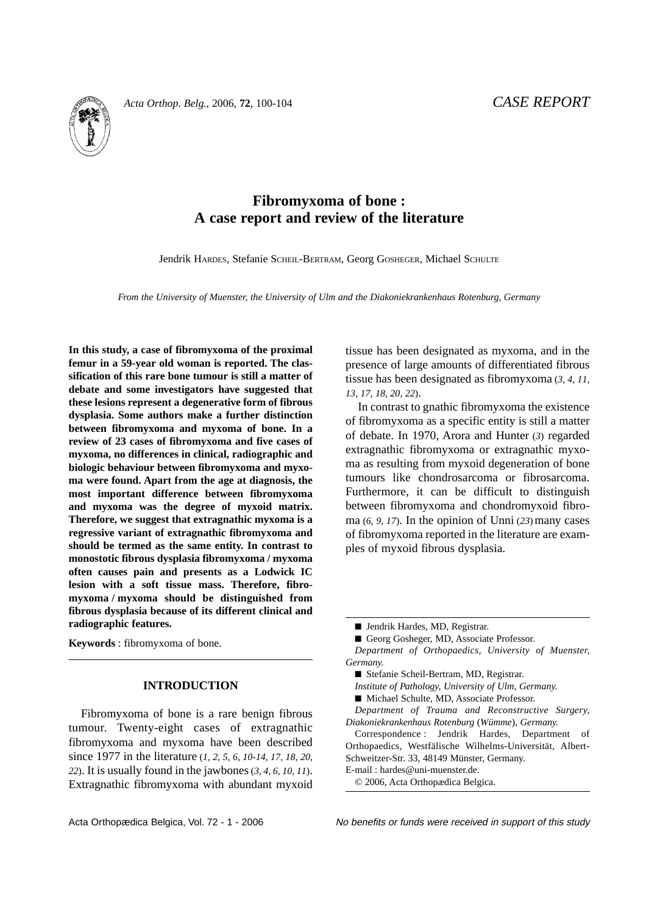

# **Fibromyxoma of bone : A case report and review of the literature**

Jendrik HARDES, Stefanie SCHEIL-BERTRAM, Georg GOSHEGER, Michael SCHULTE

*From the University of Muenster, the University of Ulm and the Diakoniekrankenhaus Rotenburg, Germany*

**In this study, a case of fibromyxoma of the proximal femur in a 59-year old woman is reported. The classification of this rare bone tumour is still a matter of debate and some investigators have suggested that these lesions represent a degenerative form of fibrous dysplasia. Some authors make a further distinction between fibromyxoma and myxoma of bone. In a review of 23 cases of fibromyxoma and five cases of myxoma, no differences in clinical, radiographic and biologic behaviour between fibromyxoma and myxoma were found. Apart from the age at diagnosis, the most important difference between fibromyxoma and myxoma was the degree of myxoid matrix. Therefore, we suggest that extragnathic myxoma is a regressive variant of extragnathic fibromyxoma and should be termed as the same entity. In contrast to monostotic fibrous dysplasia fibromyxoma / myxoma often causes pain and presents as a Lodwick IC lesion with a soft tissue mass. Therefore, fibromyxoma / myxoma should be distinguished from fibrous dysplasia because of its different clinical and radiographic features.**

**Keywords** : fibromyxoma of bone.

## **INTRODUCTION**

Fibromyxoma of bone is a rare benign fibrous tumour. Twenty-eight cases of extragnathic fibromyxoma and myxoma have been described since 1977 in the literature (*1, 2, 5, 6, 10-14, 17, 18, 20, 22*). It is usually found in the jawbones(*3, 4, 6, 10, 11*). Extragnathic fibromyxoma with abundant myxoid tissue has been designated as myxoma, and in the presence of large amounts of differentiated fibrous tissue has been designated as fibromyxoma (*3, 4, 11, 13, 17, 18, 20, 22*).

In contrast to gnathic fibromyxoma the existence of fibromyxoma as a specific entity is still a matter of debate. In 1970, Arora and Hunter (*3*) regarded extragnathic fibromyxoma or extragnathic myxoma as resulting from myxoid degeneration of bone tumours like chondrosarcoma or fibrosarcoma. Furthermore, it can be difficult to distinguish between fibromyxoma and chondromyxoid fibroma  $(6, 9, 17)$ . In the opinion of Unni  $(23)$  many cases of fibromyxoma reported in the literature are examples of myxoid fibrous dysplasia.

*Institute of Pathology, University of Ulm, Germany.*

Correspondence : Jendrik Hardes, Department of Orthopaedics, Westfälische Wilhelms-Universität, Albert-Schweitzer-Str. 33, 48149 Münster, Germany.

Acta Orthopædica Belgica, Vol. 72 - 1 - 2006 No benefits or funds were received in support of this study

<sup>■</sup> Jendrik Hardes, MD, Registrar.

<sup>■</sup> Georg Gosheger, MD, Associate Professor.

*Department of Orthopaedics, University of Muenster, Germany.*

<sup>■</sup> Stefanie Scheil-Bertram, MD, Registrar.

<sup>■</sup> Michael Schulte, MD, Associate Professor.

*Department of Trauma and Reconstructive Surgery, Diakoniekrankenhaus Rotenburg* (*Wümme*)*, Germany.*

E-mail : hardes@uni-muenster.de.

<sup>© 2006,</sup> Acta Orthopædica Belgica.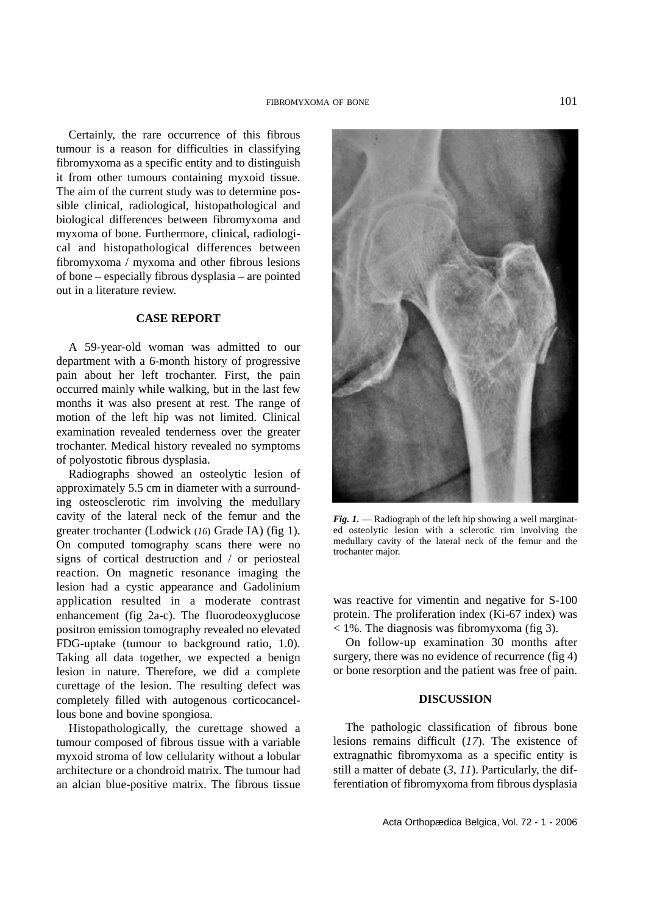Certainly, the rare occurrence of this fibrous tumour is a reason for difficulties in classifying fibromyxoma as a specific entity and to distinguish it from other tumours containing myxoid tissue. The aim of the current study was to determine possible clinical, radiological, histopathological and biological differences between fibromyxoma and myxoma of bone. Furthermore, clinical, radiological and histopathological differences between fibromyxoma / myxoma and other fibrous lesions of bone – especially fibrous dysplasia – are pointed out in a literature review.

### **CASE REPORT**

A 59-year-old woman was admitted to our department with a 6-month history of progressive pain about her left trochanter. First, the pain occurred mainly while walking, but in the last few months it was also present at rest. The range of motion of the left hip was not limited. Clinical examination revealed tenderness over the greater trochanter. Medical history revealed no symptoms of polyostotic fibrous dysplasia.

Radiographs showed an osteolytic lesion of approximately 5.5 cm in diameter with a surrounding osteosclerotic rim involving the medullary cavity of the lateral neck of the femur and the greater trochanter (Lodwick (*16*) Grade IA) (fig 1). On computed tomography scans there were no signs of cortical destruction and / or periosteal reaction. On magnetic resonance imaging the lesion had a cystic appearance and Gadolinium application resulted in a moderate contrast enhancement (fig 2a-c). The fluorodeoxyglucose positron emission tomography revealed no elevated FDG-uptake (tumour to background ratio, 1.0). Taking all data together, we expected a benign lesion in nature. Therefore, we did a complete curettage of the lesion. The resulting defect was completely filled with autogenous corticocancellous bone and bovine spongiosa.

Histopathologically, the curettage showed a tumour composed of fibrous tissue with a variable myxoid stroma of low cellularity without a lobular architecture or a chondroid matrix. The tumour had an alcian blue-positive matrix. The fibrous tissue



*Fig. 1.* — Radiograph of the left hip showing a well marginated osteolytic lesion with a sclerotic rim involving the medullary cavity of the lateral neck of the femur and the trochanter major.

was reactive for vimentin and negative for S-100 protein. The proliferation index (Ki-67 index) was  $<$  1%. The diagnosis was fibromyxoma (fig 3).

On follow-up examination 30 months after surgery, there was no evidence of recurrence (fig 4) or bone resorption and the patient was free of pain.

### **DISCUSSION**

The pathologic classification of fibrous bone lesions remains difficult (*17*). The existence of extragnathic fibromyxoma as a specific entity is still a matter of debate (*3, 11*). Particularly, the differentiation of fibromyxoma from fibrous dysplasia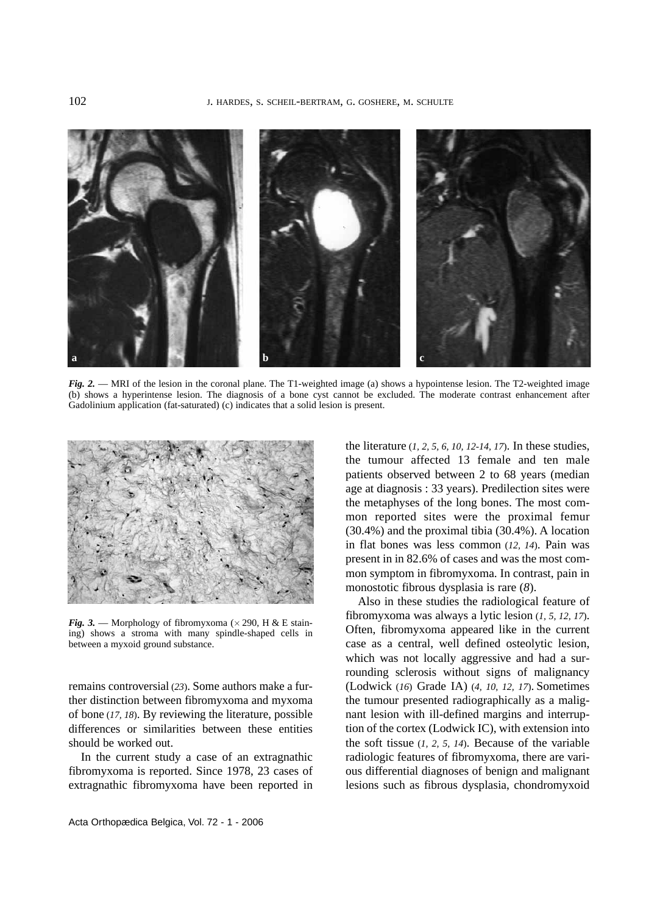

*Fig. 2.* — MRI of the lesion in the coronal plane. The T1-weighted image (a) shows a hypointense lesion. The T2-weighted image (b) shows a hyperintense lesion. The diagnosis of a bone cyst cannot be excluded. The moderate contrast enhancement after Gadolinium application (fat-saturated) (c) indicates that a solid lesion is present.



*Fig. 3.* — Morphology of fibromyxoma ( $\times$  290, H & E staining) shows a stroma with many spindle-shaped cells in between a myxoid ground substance.

remains controversial (*23*). Some authors make a further distinction between fibromyxoma and myxoma of bone (*17, 18*). By reviewing the literature, possible differences or similarities between these entities should be worked out.

In the current study a case of an extragnathic fibromyxoma is reported. Since 1978, 23 cases of extragnathic fibromyxoma have been reported in

Acta Orthopædica Belgica, Vol. 72 - 1 - 2006

the literature (*1, 2, 5, 6, 10, 12-14, 17*). In these studies, the tumour affected 13 female and ten male patients observed between 2 to 68 years (median age at diagnosis : 33 years). Predilection sites were the metaphyses of the long bones. The most common reported sites were the proximal femur (30.4%) and the proximal tibia (30.4%). A location in flat bones was less common (*12, 14*). Pain was present in in 82.6% of cases and was the most common symptom in fibromyxoma. In contrast, pain in monostotic fibrous dysplasia is rare (*8*).

Also in these studies the radiological feature of fibromyxoma was always a lytic lesion (*1, 5, 12, 17*). Often, fibromyxoma appeared like in the current case as a central, well defined osteolytic lesion, which was not locally aggressive and had a surrounding sclerosis without signs of malignancy (Lodwick (*16*) Grade IA) (*4, 10, 12, 17*). Sometimes the tumour presented radiographically as a malignant lesion with ill-defined margins and interruption of the cortex (Lodwick IC), with extension into the soft tissue (*1, 2, 5, 14*). Because of the variable radiologic features of fibromyxoma, there are various differential diagnoses of benign and malignant lesions such as fibrous dysplasia, chondromyxoid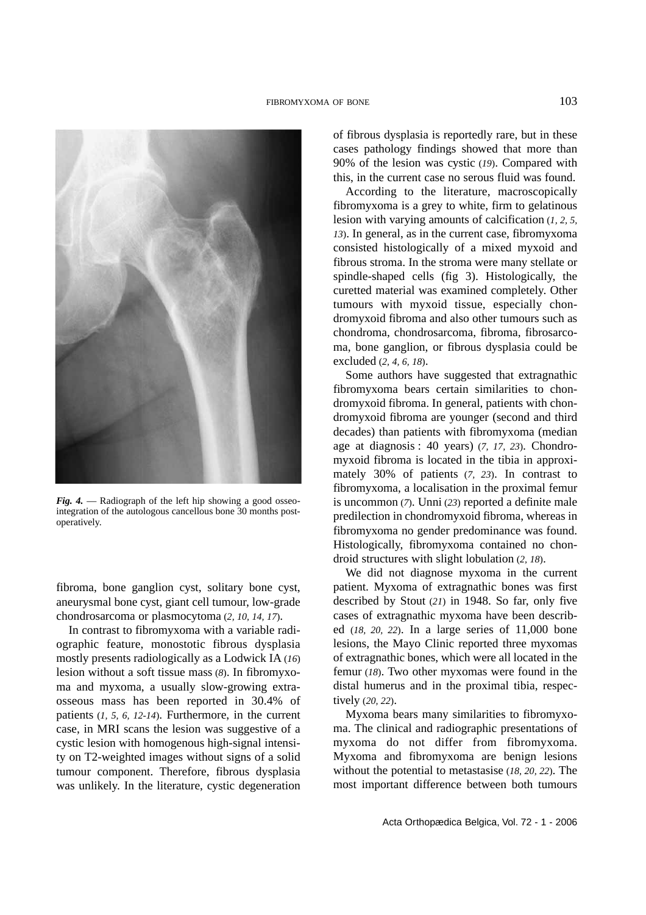

*Fig. 4.* — Radiograph of the left hip showing a good osseointegration of the autologous cancellous bone 30 months postoperatively.

fibroma, bone ganglion cyst, solitary bone cyst, aneurysmal bone cyst, giant cell tumour, low-grade chondrosarcoma or plasmocytoma (*2, 10, 14, 17*).

In contrast to fibromyxoma with a variable radiographic feature, monostotic fibrous dysplasia mostly presents radiologically as a Lodwick IA (*16*) lesion without a soft tissue mass (*8*). In fibromyxoma and myxoma, a usually slow-growing extraosseous mass has been reported in 30.4% of patients (*1, 5, 6, 12-14*). Furthermore, in the current case, in MRI scans the lesion was suggestive of a cystic lesion with homogenous high-signal intensity on T2-weighted images without signs of a solid tumour component. Therefore, fibrous dysplasia was unlikely. In the literature, cystic degeneration of fibrous dysplasia is reportedly rare, but in these cases pathology findings showed that more than 90% of the lesion was cystic (*19*). Compared with this, in the current case no serous fluid was found.

According to the literature, macroscopically fibromyxoma is a grey to white, firm to gelatinous lesion with varying amounts of calcification (*1, 2, 5, 13*). In general, as in the current case, fibromyxoma consisted histologically of a mixed myxoid and fibrous stroma. In the stroma were many stellate or spindle-shaped cells (fig 3). Histologically, the curetted material was examined completely. Other tumours with myxoid tissue, especially chondromyxoid fibroma and also other tumours such as chondroma, chondrosarcoma, fibroma, fibrosarcoma, bone ganglion, or fibrous dysplasia could be excluded (*2, 4, 6, 18*).

Some authors have suggested that extragnathic fibromyxoma bears certain similarities to chondromyxoid fibroma. In general, patients with chondromyxoid fibroma are younger (second and third decades) than patients with fibromyxoma (median age at diagnosis : 40 years) (*7, 17, 23*). Chondromyxoid fibroma is located in the tibia in approximately 30% of patients (*7, 23*). In contrast to fibromyxoma, a localisation in the proximal femur is uncommon (*7*). Unni (*23*) reported a definite male predilection in chondromyxoid fibroma, whereas in fibromyxoma no gender predominance was found. Histologically, fibromyxoma contained no chondroid structures with slight lobulation (*2, 18*).

We did not diagnose myxoma in the current patient. Myxoma of extragnathic bones was first described by Stout (*21*) in 1948. So far, only five cases of extragnathic myxoma have been described (*18, 20, 22*). In a large series of 11,000 bone lesions, the Mayo Clinic reported three myxomas of extragnathic bones, which were all located in the femur (*18*). Two other myxomas were found in the distal humerus and in the proximal tibia, respectively (*20, 22*).

Myxoma bears many similarities to fibromyxoma. The clinical and radiographic presentations of myxoma do not differ from fibromyxoma. Myxoma and fibromyxoma are benign lesions without the potential to metastasise (*18, 20, 22*). The most important difference between both tumours